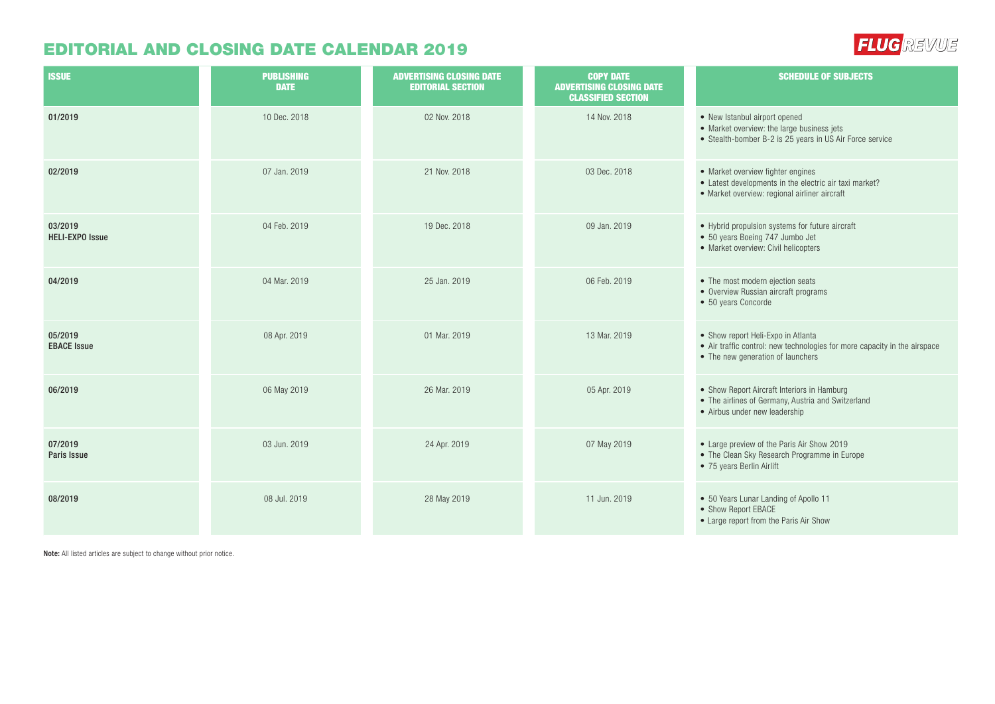## EDITORIAL AND CLOSING DATE CALENDAR 2019

| <b>ISSUE</b>                      | <b>PUBLISHING</b><br><b>DATE</b> | <b>ADVERTISING CLOSING DATE</b><br><b>EDITORIAL SECTION</b> | <b>COPY DATE</b><br><b>ADVERTISING CLOSING DATE</b><br><b>CLASSIFIED SECTION</b> | <b>SCHEDULE OF SUBJECTS</b>                                                                                                                          |
|-----------------------------------|----------------------------------|-------------------------------------------------------------|----------------------------------------------------------------------------------|------------------------------------------------------------------------------------------------------------------------------------------------------|
| 01/2019                           | 10 Dec. 2018                     | 02 Nov. 2018                                                | 14 Nov. 2018                                                                     | • New Istanbul airport opened<br>• Market overview: the large business jets<br>• Stealth-bomber B-2 is 25 years in US Air Force service              |
| 02/2019                           | 07 Jan. 2019                     | 21 Nov. 2018                                                | 03 Dec. 2018                                                                     | • Market overview fighter engines<br>• Latest developments in the electric air taxi market?<br>• Market overview: regional airliner aircraft         |
| 03/2019<br><b>HELI-EXPO Issue</b> | 04 Feb. 2019                     | 19 Dec. 2018                                                | 09 Jan. 2019                                                                     | • Hybrid propulsion systems for future aircraft<br>• 50 years Boeing 747 Jumbo Jet<br>• Market overview: Civil helicopters                           |
| 04/2019                           | 04 Mar. 2019                     | 25 Jan. 2019                                                | 06 Feb. 2019                                                                     | • The most modern ejection seats<br>• Overview Russian aircraft programs<br>• 50 years Concorde                                                      |
| 05/2019<br><b>EBACE Issue</b>     | 08 Apr. 2019                     | 01 Mar. 2019                                                | 13 Mar. 2019                                                                     | • Show report Heli-Expo in Atlanta<br>• Air traffic control: new technologies for more capacity in the airspace<br>• The new generation of launchers |
| 06/2019                           | 06 May 2019                      | 26 Mar. 2019                                                | 05 Apr. 2019                                                                     | • Show Report Aircraft Interiors in Hamburg<br>• The airlines of Germany, Austria and Switzerland<br>• Airbus under new leadership                   |
| 07/2019<br>Paris Issue            | 03 Jun. 2019                     | 24 Apr. 2019                                                | 07 May 2019                                                                      | • Large preview of the Paris Air Show 2019<br>• The Clean Sky Research Programme in Europe<br>• 75 years Berlin Airlift                              |
| 08/2019                           | 08 Jul. 2019                     | 28 May 2019                                                 | 11 Jun. 2019                                                                     | • 50 Years Lunar Landing of Apollo 11<br>• Show Report EBACE<br>• Large report from the Paris Air Show                                               |

**FLUG** REVUE

Note: All listed articles are subject to change without prior notice.